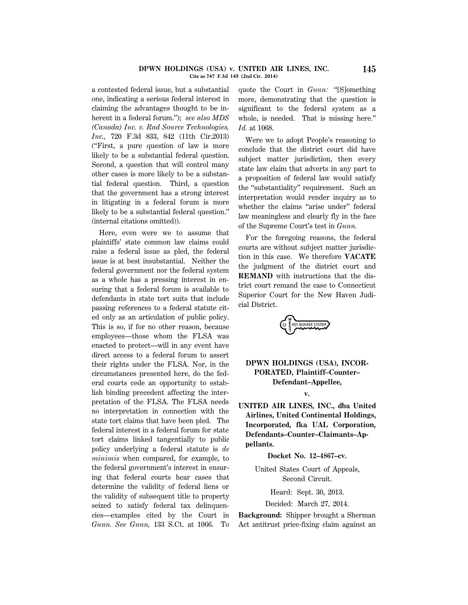### **DPWN HOLDINGS (USA) v. UNITED AIR LINES, INC. 145 Cite as 747 F.3d 145 (2nd Cir. 2014)**

a contested federal issue, but a substantial one, indicating a serious federal interest in claiming the advantages thought to be inherent in a federal forum.''); *see also MDS (Canada) Inc. v. Rad Source Technologies, Inc.,* 720 F.3d 833, 842 (11th Cir.2013) (''First, a pure question of law is more likely to be a substantial federal question. Second, a question that will control many other cases is more likely to be a substantial federal question. Third, a question that the government has a strong interest in litigating in a federal forum is more likely to be a substantial federal question.'' (internal citations omitted)).

Here, even were we to assume that plaintiffs' state common law claims could raise a federal issue as pled, the federal issue is at best insubstantial. Neither the federal government nor the federal system as a whole has a pressing interest in ensuring that a federal forum is available to defendants in state tort suits that include passing references to a federal statute cited only as an articulation of public policy. This is so, if for no other reason, because employees—those whom the FLSA was enacted to protect—will in any event have direct access to a federal forum to assert their rights under the FLSA. Nor, in the circumstances presented here, do the federal courts cede an opportunity to establish binding precedent affecting the interpretation of the FLSA. The FLSA needs no interpretation in connection with the state tort claims that have been pled. The federal interest in a federal forum for state tort claims linked tangentially to public policy underlying a federal statute is *de minimis* when compared, for example, to the federal government's interest in ensuring that federal courts hear cases that determine the validity of federal liens or the validity of subsequent title to property seized to satisfy federal tax delinquencies—examples cited by the Court in *Gunn. See Gunn,* 133 S.Ct. at 1066. To

quote the Court in *Gunn:* ''[S]omething more, demonstrating that the question is significant to the federal system as a whole, is needed. That is missing here." *Id.* at 1068.

Were we to adopt People's reasoning to conclude that the district court did have subject matter jurisdiction, then every state law claim that adverts in any part to a proposition of federal law would satisfy the ''substantiality'' requirement. Such an interpretation would render inquiry as to whether the claims "arise under" federal law meaningless and clearly fly in the face of the Supreme Court's test in *Gunn.*

For the foregoing reasons, the federal courts are without subject matter jurisdiction in this case. We therefore **VACATE** the judgment of the district court and **REMAND** with instructions that the district court remand the case to Connecticut Superior Court for the New Haven Judicial District.

E KEY NUMBER SYSTEM

# **DPWN HOLDINGS (USA), INCOR-PORATED, Plaintiff–Counter– Defendant–Appellee,**

### **v.**

**UNITED AIR LINES, INC., dba United Airlines, United Continental Holdings, Incorporated, fka UAL Corporation, Defendants–Counter–Claimants–Appellants.**

**Docket No. 12–4867–cv.**

United States Court of Appeals, Second Circuit.

Heard: Sept. 30, 2013.

Decided: March 27, 2014.

**Background:** Shipper brought a Sherman Act antitrust price-fixing claim against an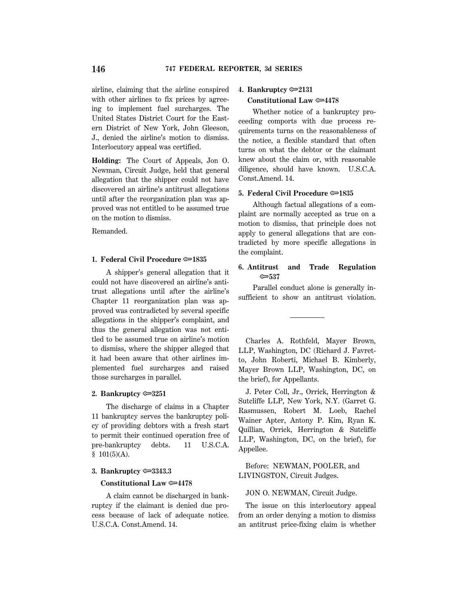airline, claiming that the airline conspired with other airlines to fix prices by agreeing to implement fuel surcharges. The United States District Court for the Eastern District of New York, John Gleeson, J., denied the airline's motion to dismiss. Interlocutory appeal was certified.

**Holding:** The Court of Appeals, Jon O. Newman, Circuit Judge, held that general allegation that the shipper could not have discovered an airline's antitrust allegations until after the reorganization plan was approved was not entitled to be assumed true on the motion to dismiss.

Remanded.

### **1. Federal Civil Procedure**  $\approx 1835$

A shipper's general allegation that it could not have discovered an airline's antitrust allegations until after the airline's Chapter 11 reorganization plan was approved was contradicted by several specific allegations in the shipper's complaint, and thus the general allegation was not entitled to be assumed true on airline's motion to dismiss, where the shipper alleged that it had been aware that other airlines implemented fuel surcharges and raised those surcharges in parallel.

### **2. Bankruptcy** O**3251**

The discharge of claims in a Chapter 11 bankruptcy serves the bankruptcy policy of providing debtors with a fresh start to permit their continued operation free of pre-bankruptcy debts. 11 U.S.C.A.  $$101(5)(A).$ 

### **3. Bankruptcy** O**3343.3**

## **Constitutional Law**  $\approx 4478$

A claim cannot be discharged in bankruptcy if the claimant is denied due process because of lack of adequate notice. U.S.C.A. Const.Amend. 14.

## **4. Bankruptcy** O**2131**

# **Constitutional Law**  $\approx 4478$

Whether notice of a bankruptcy proceeding comports with due process requirements turns on the reasonableness of the notice, a flexible standard that often turns on what the debtor or the claimant knew about the claim or, with reasonable diligence, should have known. U.S.C.A. Const.Amend. 14.

# **5. Federal Civil Procedure**  $\approx 1835$

Although factual allegations of a complaint are normally accepted as true on a motion to dismiss, that principle does not apply to general allegations that are contradicted by more specific allegations in the complaint.

# **6. Antitrust and Trade Regulation** O**537**

Parallel conduct alone is generally insufficient to show an antitrust violation.

Charles A. Rothfeld, Mayer Brown, LLP, Washington, DC (Richard J. Favretto, John Roberti, Michael B. Kimberly, Mayer Brown LLP, Washington, DC, on the brief), for Appellants.

J. Peter Coll, Jr., Orrick, Herrington & Sutcliffe LLP, New York, N.Y. (Garret G. Rasmussen, Robert M. Loeb, Rachel Wainer Apter, Antony P. Kim, Ryan K. Quillian, Orrick, Herrington & Sutcliffe LLP, Washington, DC, on the brief), for Appellee.

Before: NEWMAN, POOLER, and LIVINGSTON, Circuit Judges.

## JON O. NEWMAN, Circuit Judge.

The issue on this interlocutory appeal from an order denying a motion to dismiss an antitrust price-fixing claim is whether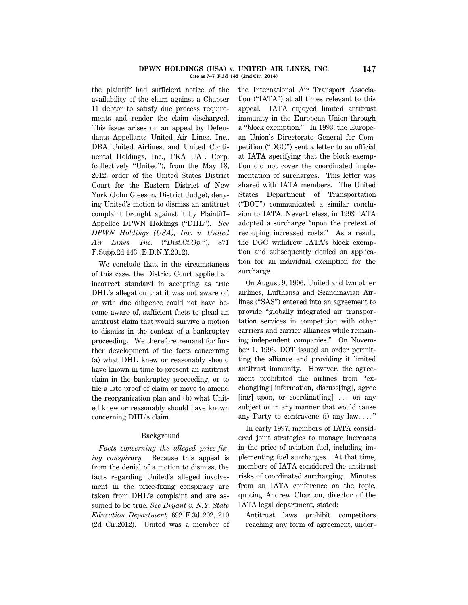### **DPWN HOLDINGS (USA) v. UNITED AIR LINES, INC. 147 Cite as 747 F.3d 145 (2nd Cir. 2014)**

the plaintiff had sufficient notice of the availability of the claim against a Chapter 11 debtor to satisfy due process requirements and render the claim discharged. This issue arises on an appeal by Defendants–Appellants United Air Lines, Inc., DBA United Airlines, and United Continental Holdings, Inc., FKA UAL Corp. (collectively ''United''), from the May 18, 2012, order of the United States District Court for the Eastern District of New York (John Gleeson, District Judge), denying United's motion to dismiss an antitrust complaint brought against it by Plaintiff– Appellee DPWN Holdings (''DHL''). *See DPWN Holdings (USA), Inc. v. United Air Lines, Inc.* (''*Dist.Ct.Op.*''), 871 F.Supp.2d 143 (E.D.N.Y.2012).

We conclude that, in the circumstances of this case, the District Court applied an incorrect standard in accepting as true DHL's allegation that it was not aware of, or with due diligence could not have become aware of, sufficient facts to plead an antitrust claim that would survive a motion to dismiss in the context of a bankruptcy proceeding. We therefore remand for further development of the facts concerning (a) what DHL knew or reasonably should have known in time to present an antitrust claim in the bankruptcy proceeding, or to file a late proof of claim or move to amend the reorganization plan and (b) what United knew or reasonably should have known concerning DHL's claim.

# Background

*Facts concerning the alleged price-fixing conspiracy.* Because this appeal is from the denial of a motion to dismiss, the facts regarding United's alleged involvement in the price-fixing conspiracy are taken from DHL's complaint and are assumed to be true. *See Bryant v. N.Y. State Education Department,* 692 F.3d 202, 210 (2d Cir.2012). United was a member of the International Air Transport Association (''IATA'') at all times relevant to this appeal. IATA enjoyed limited antitrust immunity in the European Union through a ''block exemption.'' In 1993, the European Union's Directorate General for Competition (''DGC'') sent a letter to an official at IATA specifying that the block exemption did not cover the coordinated implementation of surcharges. This letter was shared with IATA members. The United States Department of Transportation (''DOT'') communicated a similar conclusion to IATA. Nevertheless, in 1993 IATA adopted a surcharge ''upon the pretext of recouping increased costs.'' As a result, the DGC withdrew IATA's block exemption and subsequently denied an application for an individual exemption for the surcharge.

On August 9, 1996, United and two other airlines, Lufthansa and Scandinavian Airlines (''SAS'') entered into an agreement to provide ''globally integrated air transportation services in competition with other carriers and carrier alliances while remaining independent companies.'' On November 1, 1996, DOT issued an order permitting the alliance and providing it limited antitrust immunity. However, the agreement prohibited the airlines from "exchang[ing] information, discuss[ing], agree [ing] upon, or coordinat[ing]  $\ldots$  on any subject or in any manner that would cause any Party to contravene (i) any  $law...$ "

In early 1997, members of IATA considered joint strategies to manage increases in the price of aviation fuel, including implementing fuel surcharges. At that time, members of IATA considered the antitrust risks of coordinated surcharging. Minutes from an IATA conference on the topic, quoting Andrew Charlton, director of the IATA legal department, stated:

Antitrust laws prohibit competitors reaching any form of agreement, under-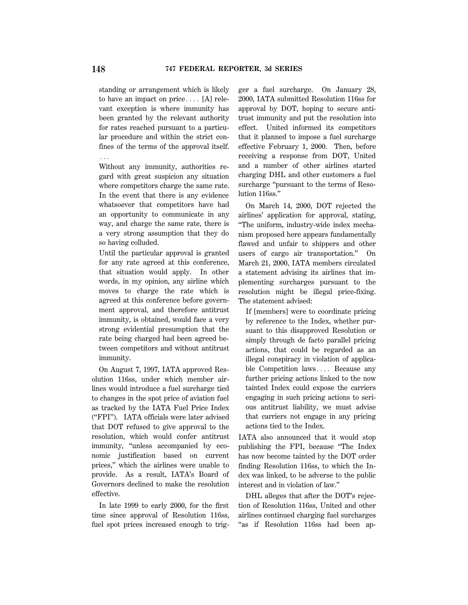standing or arrangement which is likely to have an impact on price.... [A] relevant exception is where immunity has been granted by the relevant authority for rates reached pursuant to a particular procedure and within the strict confines of the terms of the approval itself. . . .

Without any immunity, authorities regard with great suspicion any situation where competitors charge the same rate. In the event that there is any evidence whatsoever that competitors have had an opportunity to communicate in any way, and charge the same rate, there is a very strong assumption that they do so having colluded.

Until the particular approval is granted for any rate agreed at this conference, that situation would apply. In other words, in my opinion, any airline which moves to charge the rate which is agreed at this conference before government approval, and therefore antitrust immunity, is obtained, would face a very strong evidential presumption that the rate being charged had been agreed between competitors and without antitrust immunity.

On August 7, 1997, IATA approved Resolution 116ss, under which member airlines would introduce a fuel surcharge tied to changes in the spot price of aviation fuel as tracked by the IATA Fuel Price Index (''FPI''). IATA officials were later advised that DOT refused to give approval to the resolution, which would confer antitrust immunity, "unless accompanied by economic justification based on current prices,'' which the airlines were unable to provide. As a result, IATA's Board of Governors declined to make the resolution effective.

In late 1999 to early 2000, for the first time since approval of Resolution 116ss, fuel spot prices increased enough to trigger a fuel surcharge. On January 28, 2000, IATA submitted Resolution 116ss for approval by DOT, hoping to secure antitrust immunity and put the resolution into effect. United informed its competitors that it planned to impose a fuel surcharge effective February 1, 2000. Then, before receiving a response from DOT, United and a number of other airlines started charging DHL and other customers a fuel surcharge "pursuant to the terms of Resolution 116ss.''

On March 14, 2000, DOT rejected the airlines' application for approval, stating, ''The uniform, industry-wide index mechanism proposed here appears fundamentally flawed and unfair to shippers and other users of cargo air transportation.'' On March 21, 2000, IATA members circulated a statement advising its airlines that implementing surcharges pursuant to the resolution might be illegal price-fixing. The statement advised:

If [members] were to coordinate pricing by reference to the Index, whether pursuant to this disapproved Resolution or simply through de facto parallel pricing actions, that could be regarded as an illegal conspiracy in violation of applicable Competition laws $\ldots$  Because any further pricing actions linked to the now tainted Index could expose the carriers engaging in such pricing actions to serious antitrust liability, we must advise that carriers not engage in any pricing actions tied to the Index.

IATA also announced that it would stop publishing the FPI, because ''The Index has now become tainted by the DOT order finding Resolution 116ss, to which the Index was linked, to be adverse to the public interest and in violation of law.''

DHL alleges that after the DOT's rejection of Resolution 116ss, United and other airlines continued charging fuel surcharges "as if Resolution 116ss had been ap-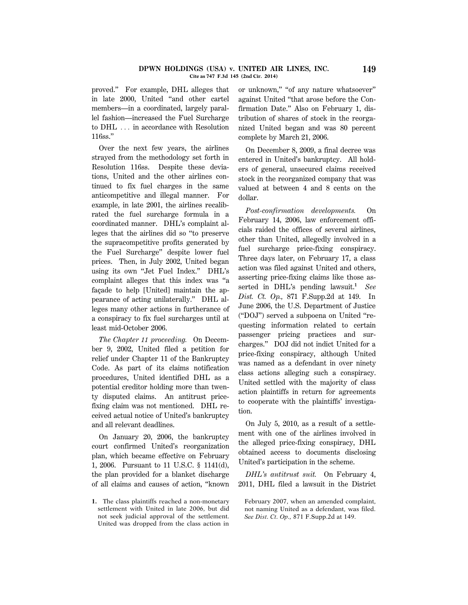### **DPWN HOLDINGS (USA) v. UNITED AIR LINES, INC. 149 Cite as 747 F.3d 145 (2nd Cir. 2014)**

proved.'' For example, DHL alleges that in late 2000, United ''and other cartel members—in a coordinated, largely parallel fashion—increased the Fuel Surcharge to  $DHL$   $\ldots$  in accordance with Resolution 116ss.''

Over the next few years, the airlines strayed from the methodology set forth in Resolution 116ss. Despite these deviations, United and the other airlines continued to fix fuel charges in the same anticompetitive and illegal manner. For example, in late 2001, the airlines recalibrated the fuel surcharge formula in a coordinated manner. DHL's complaint alleges that the airlines did so ''to preserve the supracompetitive profits generated by the Fuel Surcharge'' despite lower fuel prices. Then, in July 2002, United began using its own ''Jet Fuel Index.'' DHL's complaint alleges that this index was ''a façade to help [United] maintain the appearance of acting unilaterally.'' DHL alleges many other actions in furtherance of a conspiracy to fix fuel surcharges until at least mid-October 2006.

*The Chapter 11 proceeding.* On December 9, 2002, United filed a petition for relief under Chapter 11 of the Bankruptcy Code. As part of its claims notification procedures, United identified DHL as a potential creditor holding more than twenty disputed claims. An antitrust pricefixing claim was not mentioned. DHL received actual notice of United's bankruptcy and all relevant deadlines.

On January 20, 2006, the bankruptcy court confirmed United's reorganization plan, which became effective on February 1, 2006. Pursuant to 11 U.S.C. § 1141(d), the plan provided for a blanket discharge of all claims and causes of action, ''known

**1.** The class plaintiffs reached a non-monetary settlement with United in late 2006, but did not seek judicial approval of the settlement. United was dropped from the class action in

or unknown,'' ''of any nature whatsoever'' against United ''that arose before the Confirmation Date.'' Also on February 1, distribution of shares of stock in the reorganized United began and was 80 percent complete by March 21, 2006.

On December 8, 2009, a final decree was entered in United's bankruptcy. All holders of general, unsecured claims received stock in the reorganized company that was valued at between 4 and 8 cents on the dollar.

*Post-confirmation developments.* On February 14, 2006, law enforcement officials raided the offices of several airlines, other than United, allegedly involved in a fuel surcharge price-fixing conspiracy. Three days later, on February 17, a class action was filed against United and others, asserting price-fixing claims like those asserted in DHL's pending lawsuit.**<sup>1</sup>** *See Dist. Ct. Op.,* 871 F.Supp.2d at 149. In June 2006, the U.S. Department of Justice (''DOJ'') served a subpoena on United ''requesting information related to certain passenger pricing practices and surcharges.'' DOJ did not indict United for a price-fixing conspiracy, although United was named as a defendant in over ninety class actions alleging such a conspiracy. United settled with the majority of class action plaintiffs in return for agreements to cooperate with the plaintiffs' investigation.

On July 5, 2010, as a result of a settlement with one of the airlines involved in the alleged price-fixing conspiracy, DHL obtained access to documents disclosing United's participation in the scheme.

*DHL's antitrust suit.* On February 4, 2011, DHL filed a lawsuit in the District

February 2007, when an amended complaint, not naming United as a defendant, was filed. *See Dist. Ct. Op.,* 871 F.Supp.2d at 149.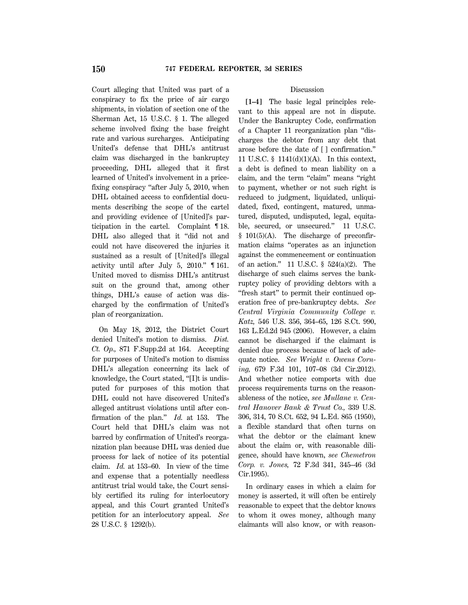Court alleging that United was part of a conspiracy to fix the price of air cargo shipments, in violation of section one of the Sherman Act, 15 U.S.C. § 1. The alleged scheme involved fixing the base freight rate and various surcharges. Anticipating United's defense that DHL's antitrust claim was discharged in the bankruptcy proceeding, DHL alleged that it first learned of United's involvement in a pricefixing conspiracy ''after July 5, 2010, when DHL obtained access to confidential documents describing the scope of the cartel and providing evidence of [United]'s participation in the cartel. Complaint ¶ 18. DHL also alleged that it "did not and could not have discovered the injuries it sustained as a result of [United]'s illegal activity until after July 5, 2010.'' ¶ 161. United moved to dismiss DHL's antitrust suit on the ground that, among other things, DHL's cause of action was discharged by the confirmation of United's plan of reorganization.

On May 18, 2012, the District Court denied United's motion to dismiss. *Dist. Ct. Op.,* 871 F.Supp.2d at 164. Accepting for purposes of United's motion to dismiss DHL's allegation concerning its lack of knowledge, the Court stated, ''[I]t is undisputed for purposes of this motion that DHL could not have discovered United's alleged antitrust violations until after confirmation of the plan.'' *Id.* at 153. The Court held that DHL's claim was not barred by confirmation of United's reorganization plan because DHL was denied due process for lack of notice of its potential claim. *Id.* at 153–60. In view of the time and expense that a potentially needless antitrust trial would take, the Court sensibly certified its ruling for interlocutory appeal, and this Court granted United's petition for an interlocutory appeal. *See* 28 U.S.C. § 1292(b).

# Discussion

**[1–4]** The basic legal principles relevant to this appeal are not in dispute. Under the Bankruptcy Code, confirmation of a Chapter 11 reorganization plan ''discharges the debtor from any debt that arose before the date of [ ] confirmation.'' 11 U.S.C. § 1141(d)(1)(A). In this context, a debt is defined to mean liability on a claim, and the term "claim" means "right to payment, whether or not such right is reduced to judgment, liquidated, unliquidated, fixed, contingent, matured, unmatured, disputed, undisputed, legal, equitable, secured, or unsecured.'' 11 U.S.C.  $§$  101(5)(A). The discharge of preconfirmation claims ''operates as an injunction against the commencement or continuation of an action.'' 11 U.S.C. § 524(a)(2). The discharge of such claims serves the bankruptcy policy of providing debtors with a "fresh start" to permit their continued operation free of pre-bankruptcy debts. *See Central Virginia Community College v. Katz,* 546 U.S. 356, 364–65, 126 S.Ct. 990, 163 L.Ed.2d 945 (2006). However, a claim cannot be discharged if the claimant is denied due process because of lack of adequate notice. *See Wright v. Owens Corning,* 679 F.3d 101, 107–08 (3d Cir.2012). And whether notice comports with due process requirements turns on the reasonableness of the notice, *see Mullane v. Central Hanover Bank & Trust Co.,* 339 U.S. 306, 314, 70 S.Ct. 652, 94 L.Ed. 865 (1950), a flexible standard that often turns on what the debtor or the claimant knew about the claim or, with reasonable diligence, should have known, *see Chemetron Corp. v. Jones,* 72 F.3d 341, 345–46 (3d Cir.1995).

In ordinary cases in which a claim for money is asserted, it will often be entirely reasonable to expect that the debtor knows to whom it owes money, although many claimants will also know, or with reason-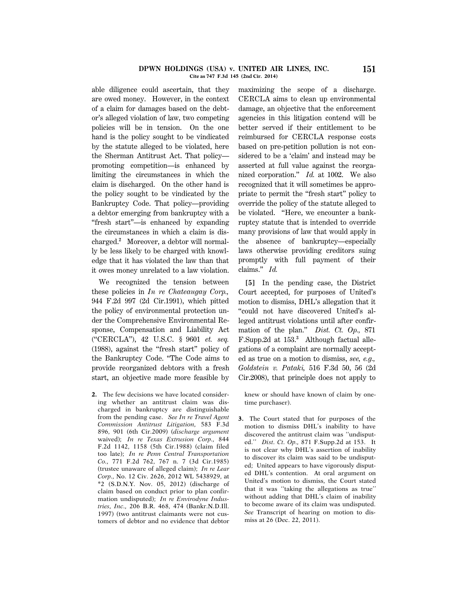### **DPWN HOLDINGS (USA) v. UNITED AIR LINES, INC. 151 Cite as 747 F.3d 145 (2nd Cir. 2014)**

able diligence could ascertain, that they are owed money. However, in the context of a claim for damages based on the debtor's alleged violation of law, two competing policies will be in tension. On the one hand is the policy sought to be vindicated by the statute alleged to be violated, here the Sherman Antitrust Act. That policy promoting competition—is enhanced by limiting the circumstances in which the claim is discharged. On the other hand is the policy sought to be vindicated by the Bankruptcy Code. That policy—providing a debtor emerging from bankruptcy with a ''fresh start''—is enhanced by expanding the circumstances in which a claim is discharged.**<sup>2</sup>** Moreover, a debtor will normally be less likely to be charged with knowledge that it has violated the law than that it owes money unrelated to a law violation.

We recognized the tension between these policies in *In re Chateaugay Corp.,* 944 F.2d 997 (2d Cir.1991), which pitted the policy of environmental protection under the Comprehensive Environmental Response, Compensation and Liability Act (''CERCLA''), 42 U.S.C. § 9601 *et. seq.* (1988), against the ''fresh start'' policy of the Bankruptcy Code. ''The Code aims to provide reorganized debtors with a fresh start, an objective made more feasible by

**2.** The few decisions we have located considering whether an antitrust claim was discharged in bankruptcy are distinguishable from the pending case. *See In re Travel Agent Commission Antitrust Litigation,* 583 F.3d 896, 901 (6th Cir.2009) (*discharge argument* waived); *In re Texas Extrusion Corp.,* 844 F.2d 1142, 1158 (5th Cir.1988) (claim filed too late); *In re Penn Central Transportation Co.,* 771 F.2d 762, 767 n. 7 (3d Cir.1985) (trustee unaware of alleged claim); *In re Lear Corp.,* No. 12 Civ. 2626, 2012 WL 5438929, at \*2 (S.D.N.Y. Nov. 05, 2012) (discharge of claim based on conduct prior to plan confirmation undisputed); *In re Envirodyne Industries, Inc.,* 206 B.R. 468, 474 (Bankr.N.D.Ill. 1997) (two antitrust claimants were not customers of debtor and no evidence that debtor maximizing the scope of a discharge. CERCLA aims to clean up environmental damage, an objective that the enforcement agencies in this litigation contend will be better served if their entitlement to be reimbursed for CERCLA response costs based on pre-petition pollution is not considered to be a 'claim' and instead may be asserted at full value against the reorganized corporation.'' *Id.* at 1002. We also recognized that it will sometimes be appropriate to permit the ''fresh start'' policy to override the policy of the statute alleged to be violated. ''Here, we encounter a bankruptcy statute that is intended to override many provisions of law that would apply in the absence of bankruptcy—especially laws otherwise providing creditors suing promptly with full payment of their claims.'' *Id.*

**[5]** In the pending case, the District Court accepted, for purposes of United's motion to dismiss, DHL's allegation that it ''could not have discovered United's alleged antitrust violations until after confirmation of the plan.'' *Dist. Ct. Op.,* 871 F.Supp.2d at 153.**<sup>3</sup>** Although factual allegations of a complaint are normally accepted as true on a motion to dismiss, *see, e.g., Goldstein v. Pataki,* 516 F.3d 50, 56 (2d Cir.2008), that principle does not apply to

knew or should have known of claim by onetime purchaser).

**3.** The Court stated that for purposes of the motion to dismiss DHL's inability to have discovered the antitrust claim was ''undisputed.'' *Dist. Ct. Op.,* 871 F.Supp.2d at 153. It is not clear why DHL's assertion of inability to discover its claim was said to be undisputed; United appears to have vigorously disputed DHL's contention. At oral argument on United's motion to dismiss, the Court stated that it was ''taking the allegations as true'' without adding that DHL's claim of inability to become aware of its claim was undisputed. *See* Transcript of hearing on motion to dismiss at 26 (Dec. 22, 2011).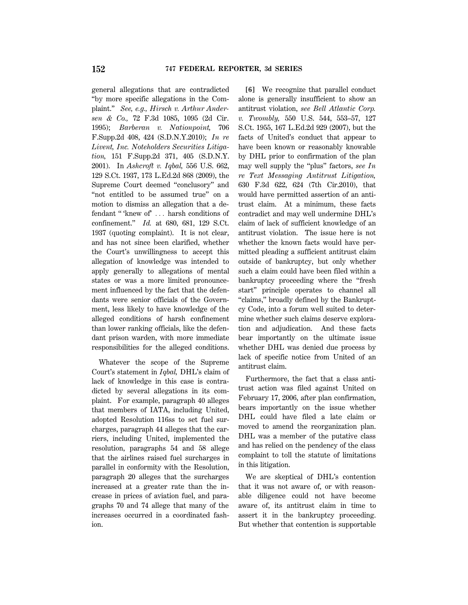general allegations that are contradicted ''by more specific allegations in the Complaint.'' *See, e.g., Hirsch v. Arthur Andersen & Co.,* 72 F.3d 1085, 1095 (2d Cir. 1995); *Barberan v. Nationpoint,* 706 F.Supp.2d 408, 424 (S.D.N.Y.2010); *In re Livent, Inc. Noteholders Securities Litigation,* 151 F.Supp.2d 371, 405 (S.D.N.Y. 2001). In *Ashcroft v. Iqbal,* 556 U.S. 662, 129 S.Ct. 1937, 173 L.Ed.2d 868 (2009), the Supreme Court deemed ''conclusory'' and "not entitled to be assumed true" on a motion to dismiss an allegation that a defendant "'knew of' ... harsh conditions of confinement.'' *Id.* at 680, 681, 129 S.Ct. 1937 (quoting complaint). It is not clear, and has not since been clarified, whether the Court's unwillingness to accept this allegation of knowledge was intended to apply generally to allegations of mental states or was a more limited pronouncement influenced by the fact that the defendants were senior officials of the Government, less likely to have knowledge of the alleged conditions of harsh confinement than lower ranking officials, like the defendant prison warden, with more immediate responsibilities for the alleged conditions.

Whatever the scope of the Supreme Court's statement in *Iqbal,* DHL's claim of lack of knowledge in this case is contradicted by several allegations in its complaint. For example, paragraph 40 alleges that members of IATA, including United, adopted Resolution 116ss to set fuel surcharges, paragraph 44 alleges that the carriers, including United, implemented the resolution, paragraphs 54 and 58 allege that the airlines raised fuel surcharges in parallel in conformity with the Resolution, paragraph 20 alleges that the surcharges increased at a greater rate than the increase in prices of aviation fuel, and paragraphs 70 and 74 allege that many of the increases occurred in a coordinated fashion.

**[6]** We recognize that parallel conduct alone is generally insufficient to show an antitrust violation, *see Bell Atlantic Corp. v. Twombly,* 550 U.S. 544, 553–57, 127 S.Ct. 1955, 167 L.Ed.2d 929 (2007), but the facts of United's conduct that appear to have been known or reasonably knowable by DHL prior to confirmation of the plan may well supply the ''plus'' factors, *see In re Text Messaging Antitrust Litigation,* 630 F.3d 622, 624 (7th Cir.2010), that would have permitted assertion of an antitrust claim. At a minimum, these facts contradict and may well undermine DHL's claim of lack of sufficient knowledge of an antitrust violation. The issue here is not whether the known facts would have permitted pleading a sufficient antitrust claim outside of bankruptcy, but only whether such a claim could have been filed within a bankruptcy proceeding where the ''fresh start'' principle operates to channel all ''claims,'' broadly defined by the Bankruptcy Code, into a forum well suited to determine whether such claims deserve exploration and adjudication. And these facts bear importantly on the ultimate issue whether DHL was denied due process by lack of specific notice from United of an antitrust claim.

Furthermore, the fact that a class antitrust action was filed against United on February 17, 2006, after plan confirmation, bears importantly on the issue whether DHL could have filed a late claim or moved to amend the reorganization plan. DHL was a member of the putative class and has relied on the pendency of the class complaint to toll the statute of limitations in this litigation.

We are skeptical of DHL's contention that it was not aware of, or with reasonable diligence could not have become aware of, its antitrust claim in time to assert it in the bankruptcy proceeding. But whether that contention is supportable